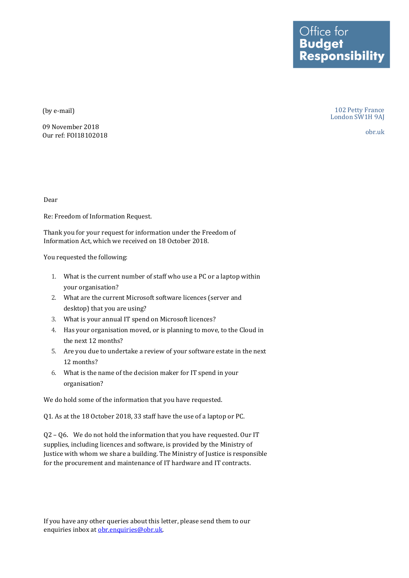Office for<br>**Budget Responsibility** 

(by e-mail)

09 November 2018 Our ref: FOI18102018

102 Petty France London SW1H 9AJ

obr.uk

Dear

Re: Freedom of Information Request.

Thank you for your request for information under the Freedom of Information Act, which we received on 18 October 2018.

You requested the following:

- 1. What is the current number of staff who use a PC or a laptop within your organisation?
- 2. What are the current Microsoft software licences (server and desktop) that you are using?
- 3. What is your annual IT spend on Microsoft licences?
- 4. Has your organisation moved, or is planning to move, to the Cloud in the next 12 months?
- 5. Are you due to undertake a review of your software estate in the next 12 months?
- 6. What is the name of the decision maker for IT spend in your organisation?

We do hold some of the information that you have requested.

Q1. As at the 18 October 2018, 33 staff have the use of a laptop or PC.

Q2 – Q6. We do not hold the information that you have requested. Our IT supplies, including licences and software, is provided by the Ministry of Justice with whom we share a building. The Ministry of Justice is responsible for the procurement and maintenance of IT hardware and IT contracts.